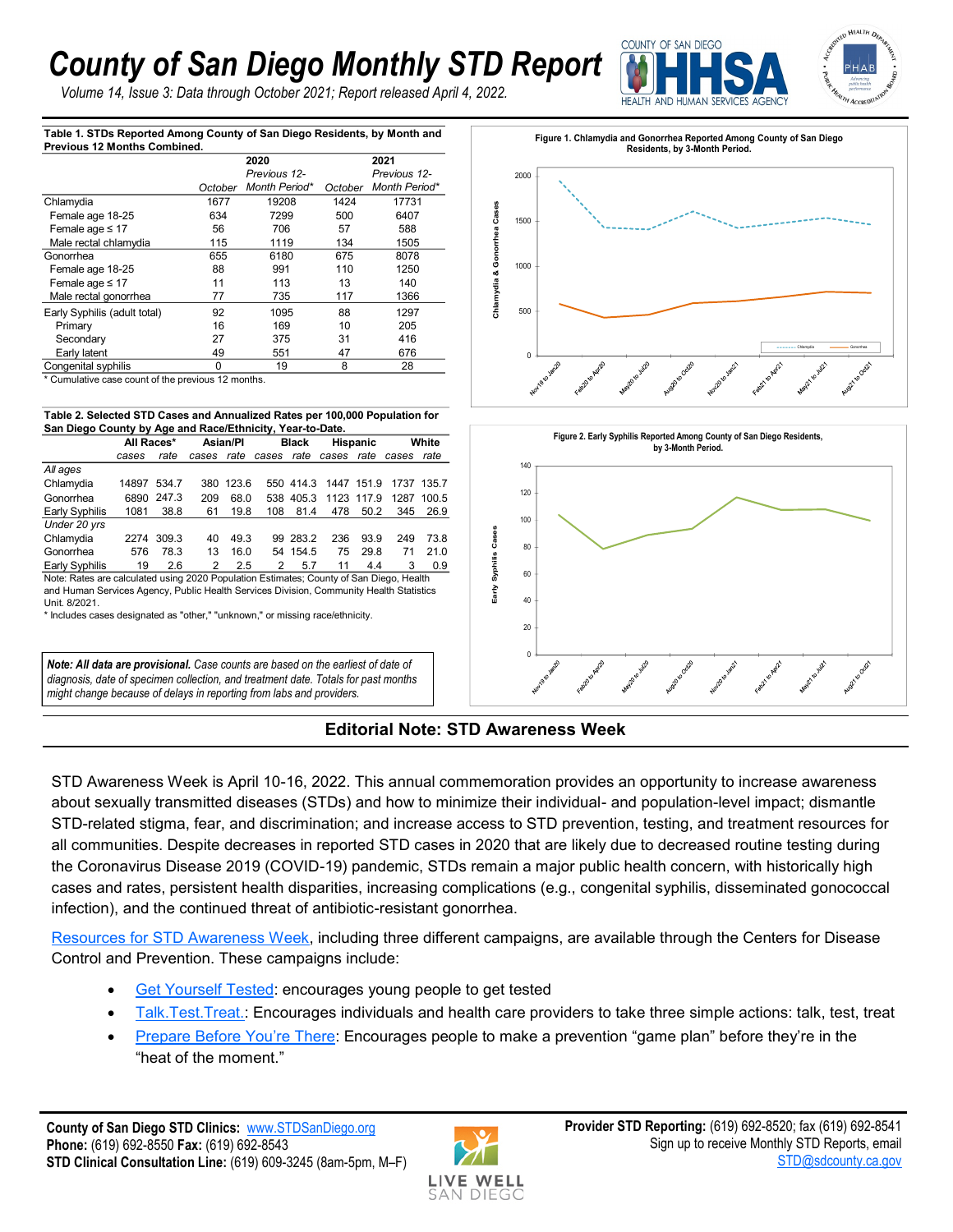## *County of San Diego Monthly STD Report*

*Volume 14, Issue 3: Data through October 2021; Report released April 4, 2022.*



**Table 1. STDs Reported Among County of San Diego Residents, by Month and Previous 12 Months Combined.**

| THE MUNICIPAL MICHINES COMPUTED. |         |               |         | 2021          |  |  |
|----------------------------------|---------|---------------|---------|---------------|--|--|
|                                  |         | 2020          |         |               |  |  |
|                                  |         | Previous 12-  |         | Previous 12-  |  |  |
|                                  | October | Month Period* | October | Month Period* |  |  |
| Chlamydia                        | 1677    | 19208         | 1424    | 17731         |  |  |
| Female age 18-25                 | 634     | 7299          | 500     | 6407          |  |  |
| Female age $\leq 17$             | 56      | 706           | 57      | 588           |  |  |
| Male rectal chlamydia            | 115     | 1119          | 134     | 1505          |  |  |
| Gonorrhea                        | 655     | 6180          | 675     | 8078          |  |  |
| Female age 18-25                 | 88      | 991           | 110     | 1250          |  |  |
| Female age $\leq 17$             | 11      | 113           | 13      | 140           |  |  |
| Male rectal gonorrhea            | 77      | 735           | 117     | 1366          |  |  |
| Early Syphilis (adult total)     | 92      | 1095          | 88      | 1297          |  |  |
| Primary                          | 16      | 169           | 10      | 205           |  |  |
| Secondary                        | 27      | 375           | 31      | 416           |  |  |
| Early latent                     | 49      | 551           | 47      | 676           |  |  |
| Congenital syphilis              | 0       | 19            | 8       | 28            |  |  |

<sup>\*</sup> Cumulative case count of the previous 12 months.

**Table 2. Selected STD Cases and Annualized Rates per 100,000 Population for San Diego County by Age and Race/Ethnicity, Year-to-Date.** 

|                | All Races* |            | Asian/Pl |       | <b>Black</b> |           | <b>Hispanic</b> |            | White |            |
|----------------|------------|------------|----------|-------|--------------|-----------|-----------------|------------|-------|------------|
|                | cases      | rate       | cases    | rate  | cases        | rate      | cases           | rate       | cases | rate       |
| All ages       |            |            |          |       |              |           |                 |            |       |            |
| Chlamydia      | 14897      | 534.7      | 380      | 123.6 |              | 550 414.3 | 1447 151.9      |            |       | 1737 135.7 |
| Gonorrhea      | 6890       | 247.3      | 209      | 68.0  |              | 538 405.3 |                 | 1123 117.9 | 1287  | 100.5      |
| Early Syphilis | 1081       | 38.8       | 61       | 19.8  | 108          | 81.4      | 478             | 50.2       | 345   | 26.9       |
| Under 20 yrs   |            |            |          |       |              |           |                 |            |       |            |
| Chlamydia      |            | 2274 309.3 | 40       | 49.3  |              | 99 283.2  | 236             | 93.9       | 249   | 73.8       |
| Gonorrhea      | 576        | 78.3       | 13       | 16.0  |              | 54 154.5  | 75              | 29.8       | 71    | 21.0       |
| Early Syphilis | 19         | 2.6        | 2        | 2.5   | 2            | 5.7       | 11              | 4.4        | 3     | 0.9        |

Note: Rates are calculated using 2020 Population Estimates; County of San Diego, Health and Human Services Agency, Public Health Services Division, Community Health Statistics Unit. 8/2021.

\* Includes cases designated as "other," "unknown," or missing race/ethnicity.

*Note: All data are provisional. Case counts are based on the earliest of date of diagnosis, date of specimen collection, and treatment date. Totals for past months might change because of delays in reporting from labs and providers.* 





**Editorial Note: STD Awareness Week**

STD Awareness Week is April 10-16, 2022. This annual commemoration provides an opportunity to increase awareness about sexually transmitted diseases (STDs) and how to minimize their individual- and population-level impact; dismantle STD-related stigma, fear, and discrimination; and increase access to STD prevention, testing, and treatment resources for all communities. Despite decreases in reported STD cases in 2020 that are likely due to decreased routine testing during the Coronavirus Disease 2019 (COVID-19) pandemic, STDs remain a major public health concern, with historically high cases and rates, persistent health disparities, increasing complications (e.g., congenital syphilis, disseminated gonococcal infection), and the continued threat of antibiotic-resistant gonorrhea.

[Resources for STD Awareness Week,](https://www.cdc.gov/std/saw/index.htm) including three different campaigns, are available through the Centers for Disease Control and Prevention. These campaigns include:

- [Get Yourself Tested:](https://www.cdc.gov/std/saw/gyt/default.htm) encourages young people to get tested
- Talk. Test. Treat.: Encourages individuals and health care providers to take three simple actions: talk, test, treat
- [Prepare Before You](https://www.cdc.gov/std/saw/pbyt/default.htm)'re There: Encourages people to make a prevention "game plan" before they're in the "heat of the moment."